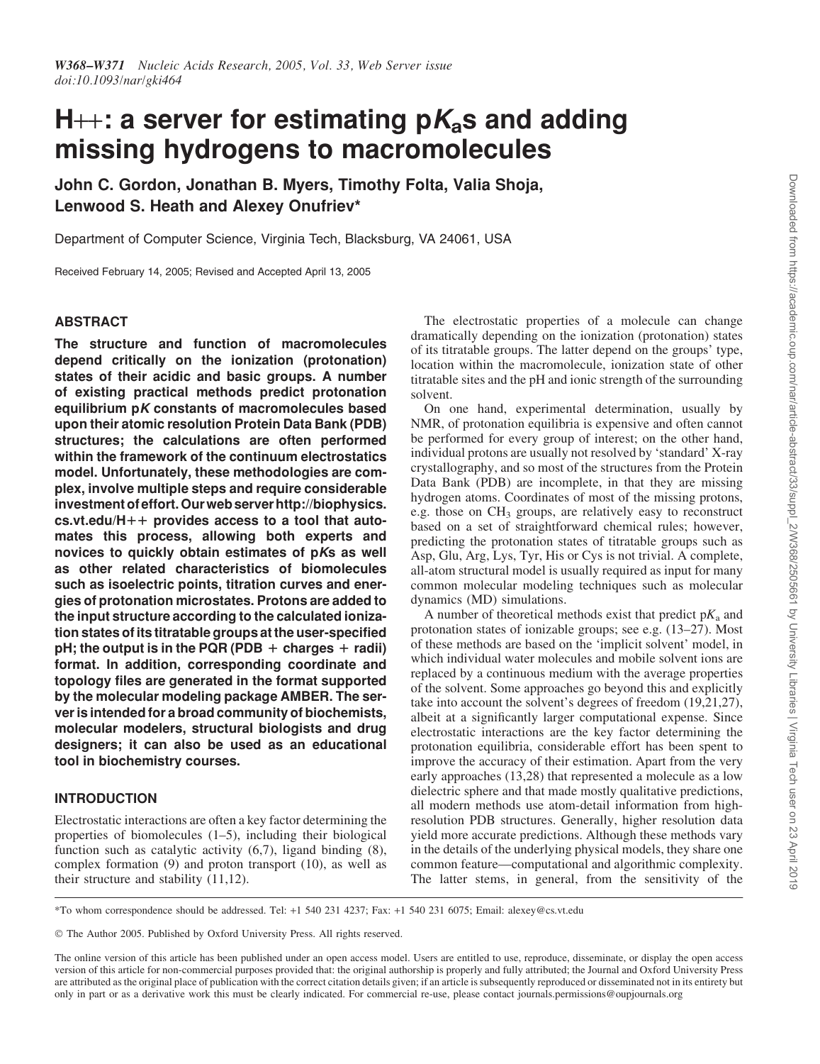# H++: a server for estimating  $pK_a$ s and adding missing hydrogens to macromolecules

John C. Gordon, Jonathan B. Myers, Timothy Folta, Valia Shoja, Lenwood S. Heath and Alexey Onufriev\*

Department of Computer Science, Virginia Tech, Blacksburg, VA 24061, USA

Received February 14, 2005; Revised and Accepted April 13, 2005

## ABSTRACT

The structure and function of macromolecules depend critically on the ionization (protonation) states of their acidic and basic groups. A number of existing practical methods predict protonation equilibrium pK constants of macromolecules based upon their atomic resolution Protein Data Bank (PDB) structures; the calculations are often performed within the framework of the continuum electrostatics model. Unfortunately, these methodologies are complex, involve multiple steps and require considerable investment of effort. Our web server http://biophysics. cs.vt.edu/H $++$  provides access to a tool that automates this process, allowing both experts and novices to quickly obtain estimates of pKs as well as other related characteristics of biomolecules such as isoelectric points, titration curves and energies of protonation microstates. Protons are added to the input structure according to the calculated ionization states of its titratable groups at the user-specified pH; the output is in the PQR (PDB  $+$  charges  $+$  radii) format. In addition, corresponding coordinate and topology files are generated in the format supported by the molecular modeling package AMBER. The server is intended for a broad community of biochemists, molecular modelers, structural biologists and drug designers; it can also be used as an educational tool in biochemistry courses.

## INTRODUCTION

Electrostatic interactions are often a key factor determining the properties of biomolecules (1–5), including their biological function such as catalytic activity (6,7), ligand binding (8), complex formation (9) and proton transport (10), as well as their structure and stability (11,12).

The electrostatic properties of a molecule can change dramatically depending on the ionization (protonation) states of its titratable groups. The latter depend on the groups' type, location within the macromolecule, ionization state of other titratable sites and the pH and ionic strength of the surrounding solvent.

On one hand, experimental determination, usually by NMR, of protonation equilibria is expensive and often cannot be performed for every group of interest; on the other hand, individual protons are usually not resolved by 'standard' X-ray crystallography, and so most of the structures from the Protein Data Bank (PDB) are incomplete, in that they are missing hydrogen atoms. Coordinates of most of the missing protons, e.g. those on  $CH_3$  groups, are relatively easy to reconstruct based on a set of straightforward chemical rules; however, predicting the protonation states of titratable groups such as Asp, Glu, Arg, Lys, Tyr, His or Cys is not trivial. A complete, all-atom structural model is usually required as input for many common molecular modeling techniques such as molecular dynamics (MD) simulations.

A number of theoretical methods exist that predict  $pK_a$  and protonation states of ionizable groups; see e.g. (13–27). Most of these methods are based on the 'implicit solvent' model, in which individual water molecules and mobile solvent ions are replaced by a continuous medium with the average properties of the solvent. Some approaches go beyond this and explicitly take into account the solvent's degrees of freedom (19,21,27), albeit at a significantly larger computational expense. Since electrostatic interactions are the key factor determining the protonation equilibria, considerable effort has been spent to improve the accuracy of their estimation. Apart from the very early approaches (13,28) that represented a molecule as a low dielectric sphere and that made mostly qualitative predictions, all modern methods use atom-detail information from highresolution PDB structures. Generally, higher resolution data yield more accurate predictions. Although these methods vary in the details of the underlying physical models, they share one common feature—computational and algorithmic complexity. The latter stems, in general, from the sensitivity of the

\*To whom correspondence should be addressed. Tel: +1 540 231 4237; Fax: +1 540 231 6075; Email: alexey@cs.vt.edu

- The Author 2005. Published by Oxford University Press. All rights reserved.

The online version of this article has been published under an open access model. Users are entitled to use, reproduce, disseminate, or display the open access version of this article for non-commercial purposes provided that: the original authorship is properly and fully attributed; the Journal and Oxford University Press are attributed as the original place of publication with the correct citation details given; if an article is subsequently reproduced or disseminated not in its entirety but only in part or as a derivative work this must be clearly indicated. For commercial re-use, please contact journals.permissions@oupjournals.org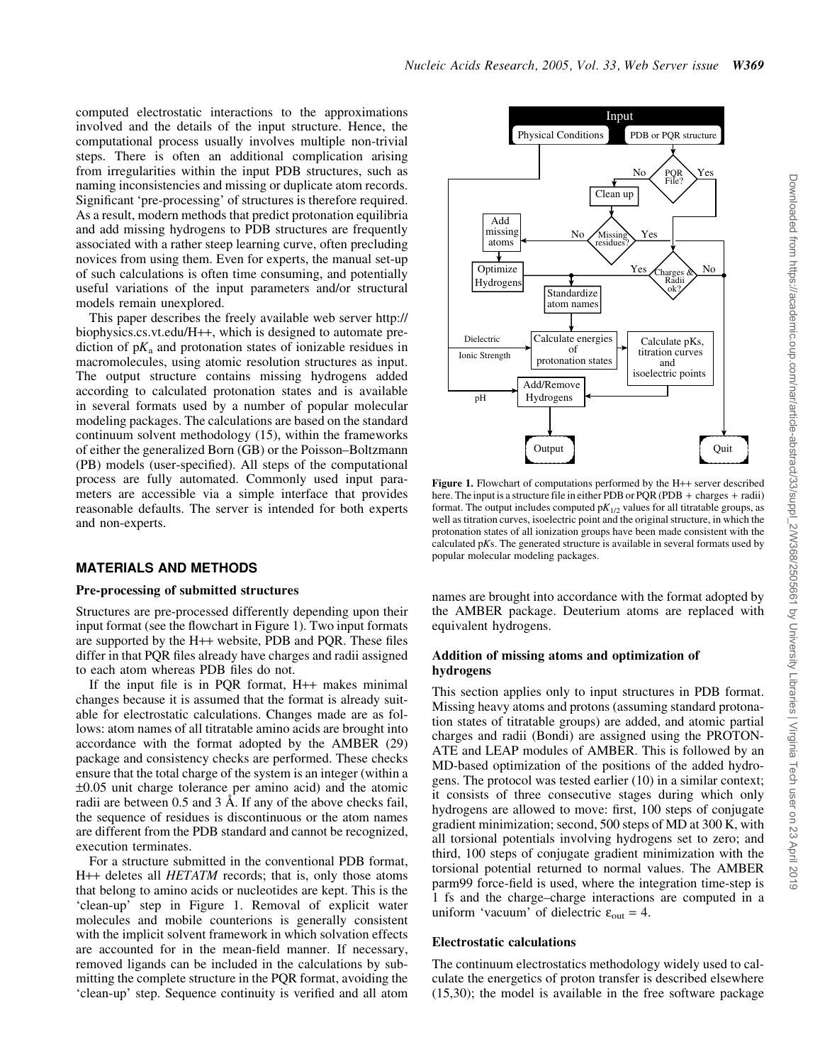computed electrostatic interactions to the approximations involved and the details of the input structure. Hence, the computational process usually involves multiple non-trivial steps. There is often an additional complication arising from irregularities within the input PDB structures, such as naming inconsistencies and missing or duplicate atom records. Significant 'pre-processing' of structures is therefore required. As a result, modern methods that predict protonation equilibria and add missing hydrogens to PDB structures are frequently associated with a rather steep learning curve, often precluding novices from using them. Even for experts, the manual set-up of such calculations is often time consuming, and potentially useful variations of the input parameters and/or structural models remain unexplored.

This paper describes the freely available web server http:// biophysics.cs.vt.edu/H++, which is designed to automate prediction of  $pK_a$  and protonation states of ionizable residues in macromolecules, using atomic resolution structures as input. The output structure contains missing hydrogens added according to calculated protonation states and is available in several formats used by a number of popular molecular modeling packages. The calculations are based on the standard continuum solvent methodology (15), within the frameworks of either the generalized Born (GB) or the Poisson–Boltzmann (PB) models (user-specified). All steps of the computational process are fully automated. Commonly used input parameters are accessible via a simple interface that provides reasonable defaults. The server is intended for both experts and non-experts.

## MATERIALS AND METHODS

#### Pre-processing of submitted structures

Structures are pre-processed differently depending upon their input format (see the flowchart in Figure 1). Two input formats are supported by the H++ website, PDB and PQR. These files differ in that PQR files already have charges and radii assigned to each atom whereas PDB files do not.

If the input file is in PQR format, H++ makes minimal changes because it is assumed that the format is already suitable for electrostatic calculations. Changes made are as follows: atom names of all titratable amino acids are brought into accordance with the format adopted by the AMBER (29) package and consistency checks are performed. These checks ensure that the total charge of the system is an integer (within a  $\pm 0.05$  unit charge tolerance per amino acid) and the atomic radii are between  $0.5$  and  $3 \text{ Å}$ . If any of the above checks fail, the sequence of residues is discontinuous or the atom names are different from the PDB standard and cannot be recognized, execution terminates.

For a structure submitted in the conventional PDB format, H++ deletes all *HETATM* records; that is, only those atoms that belong to amino acids or nucleotides are kept. This is the 'clean-up' step in Figure 1. Removal of explicit water molecules and mobile counterions is generally consistent with the implicit solvent framework in which solvation effects are accounted for in the mean-field manner. If necessary, removed ligands can be included in the calculations by submitting the complete structure in the PQR format, avoiding the 'clean-up' step. Sequence continuity is verified and all atom



Figure 1. Flowchart of computations performed by the H++ server described here. The input is a structure file in either PDB or PQR (PDB + charges + radii) format. The output includes computed  $pK_{1/2}$  values for all titratable groups, as well as titration curves, isoelectric point and the original structure, in which the protonation states of all ionization groups have been made consistent with the calculated pKs. The generated structure is available in several formats used by popular molecular modeling packages.

names are brought into accordance with the format adopted by the AMBER package. Deuterium atoms are replaced with equivalent hydrogens.

## Addition of missing atoms and optimization of hydrogens

This section applies only to input structures in PDB format. Missing heavy atoms and protons (assuming standard protonation states of titratable groups) are added, and atomic partial charges and radii (Bondi) are assigned using the PROTON-ATE and LEAP modules of AMBER. This is followed by an MD-based optimization of the positions of the added hydrogens. The protocol was tested earlier (10) in a similar context; it consists of three consecutive stages during which only hydrogens are allowed to move: first, 100 steps of conjugate gradient minimization; second, 500 steps of MD at 300 K, with all torsional potentials involving hydrogens set to zero; and third, 100 steps of conjugate gradient minimization with the torsional potential returned to normal values. The AMBER parm99 force-field is used, where the integration time-step is 1 fs and the charge–charge interactions are computed in a uniform 'vacuum' of dielectric  $\varepsilon_{\text{out}} = 4$ .

#### Electrostatic calculations

The continuum electrostatics methodology widely used to calculate the energetics of proton transfer is described elsewhere (15,30); the model is available in the free software package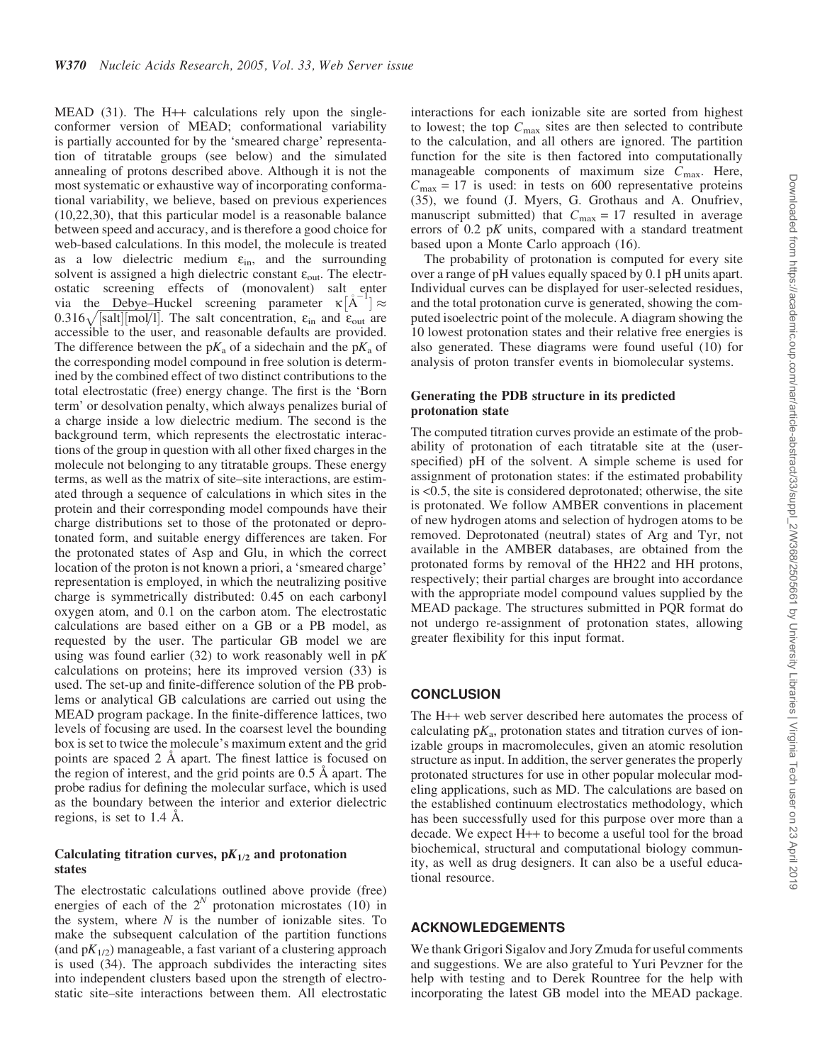MEAD  $(31)$ . The H++ calculations rely upon the singleconformer version of MEAD; conformational variability is partially accounted for by the 'smeared charge' representation of titratable groups (see below) and the simulated annealing of protons described above. Although it is not the most systematic or exhaustive way of incorporating conformational variability, we believe, based on previous experiences (10,22,30), that this particular model is a reasonable balance between speed and accuracy, and is therefore a good choice for web-based calculations. In this model, the molecule is treated as a low dielectric medium  $\varepsilon_{\text{in}}$ , and the surrounding solvent is assigned a high dielectric constant  $\varepsilon_{\text{out}}$ . The electrostatic screening effects of (monovalent) salt enter via the Debye–Huckel screening parameter  $\kappa [\mathring{A}^{-1}] \approx$  $0.316\sqrt{\text{salt} \cdot \text{[mol/1]}}$ . The salt concentration,  $\varepsilon_{\text{in}}$  and  $\varepsilon_{\text{out}}$  are accessible to the user, and reasonable defaults are provided. The difference between the  $pK_a$  of a sidechain and the  $pK_a$  of the corresponding model compound in free solution is determined by the combined effect of two distinct contributions to the total electrostatic (free) energy change. The first is the 'Born term' or desolvation penalty, which always penalizes burial of a charge inside a low dielectric medium. The second is the background term, which represents the electrostatic interactions of the group in question with all other fixed charges in the molecule not belonging to any titratable groups. These energy terms, as well as the matrix of site–site interactions, are estimated through a sequence of calculations in which sites in the protein and their corresponding model compounds have their charge distributions set to those of the protonated or deprotonated form, and suitable energy differences are taken. For the protonated states of Asp and Glu, in which the correct location of the proton is not known a priori, a 'smeared charge' representation is employed, in which the neutralizing positive charge is symmetrically distributed: 0.45 on each carbonyl oxygen atom, and 0.1 on the carbon atom. The electrostatic calculations are based either on a GB or a PB model, as requested by the user. The particular GB model we are using was found earlier  $(32)$  to work reasonably well in  $pK$ calculations on proteins; here its improved version (33) is used. The set-up and finite-difference solution of the PB problems or analytical GB calculations are carried out using the MEAD program package. In the finite-difference lattices, two levels of focusing are used. In the coarsest level the bounding box is set to twice the molecule's maximum extent and the grid points are spaced 2 Å apart. The finest lattice is focused on the region of interest, and the grid points are  $0.5 \text{ Å}$  apart. The probe radius for defining the molecular surface, which is used as the boundary between the interior and exterior dielectric regions, is set to  $1.4 \text{ Å}.$ 

## Calculating titration curves,  $pK_{1/2}$  and protonation states

The electrostatic calculations outlined above provide (free) energies of each of the  $2^N$  protonation microstates (10) in the system, where  $N$  is the number of ionizable sites. To make the subsequent calculation of the partition functions (and  $pK_{1/2}$ ) manageable, a fast variant of a clustering approach is used (34). The approach subdivides the interacting sites into independent clusters based upon the strength of electrostatic site–site interactions between them. All electrostatic

interactions for each ionizable site are sorted from highest to lowest; the top  $C_{\text{max}}$  sites are then selected to contribute to the calculation, and all others are ignored. The partition function for the site is then factored into computationally manageable components of maximum size  $C_{\text{max}}$ . Here,  $C_{\text{max}} = 17$  is used: in tests on 600 representative proteins (35), we found (J. Myers, G. Grothaus and A. Onufriev, manuscript submitted) that  $C_{\text{max}} = 17$  resulted in average errors of 0.2 pK units, compared with a standard treatment based upon a Monte Carlo approach (16).

The probability of protonation is computed for every site over a range of pH values equally spaced by 0.1 pH units apart. Individual curves can be displayed for user-selected residues, and the total protonation curve is generated, showing the computed isoelectric point of the molecule. A diagram showing the 10 lowest protonation states and their relative free energies is also generated. These diagrams were found useful (10) for analysis of proton transfer events in biomolecular systems.

## Generating the PDB structure in its predicted protonation state

The computed titration curves provide an estimate of the probability of protonation of each titratable site at the (userspecified) pH of the solvent. A simple scheme is used for assignment of protonation states: if the estimated probability is <0.5, the site is considered deprotonated; otherwise, the site is protonated. We follow AMBER conventions in placement of new hydrogen atoms and selection of hydrogen atoms to be removed. Deprotonated (neutral) states of Arg and Tyr, not available in the AMBER databases, are obtained from the protonated forms by removal of the HH22 and HH protons, respectively; their partial charges are brought into accordance with the appropriate model compound values supplied by the MEAD package. The structures submitted in PQR format do not undergo re-assignment of protonation states, allowing greater flexibility for this input format.

## **CONCLUSION**

The H++ web server described here automates the process of calculating  $pK_a$ , protonation states and titration curves of ionizable groups in macromolecules, given an atomic resolution structure as input. In addition, the server generates the properly protonated structures for use in other popular molecular modeling applications, such as MD. The calculations are based on the established continuum electrostatics methodology, which has been successfully used for this purpose over more than a decade. We expect H++ to become a useful tool for the broad biochemical, structural and computational biology community, as well as drug designers. It can also be a useful educational resource.

## ACKNOWLEDGEMENTS

We thank Grigori Sigalov and Jory Zmuda for useful comments and suggestions. We are also grateful to Yuri Pevzner for the help with testing and to Derek Rountree for the help with incorporating the latest GB model into the MEAD package.